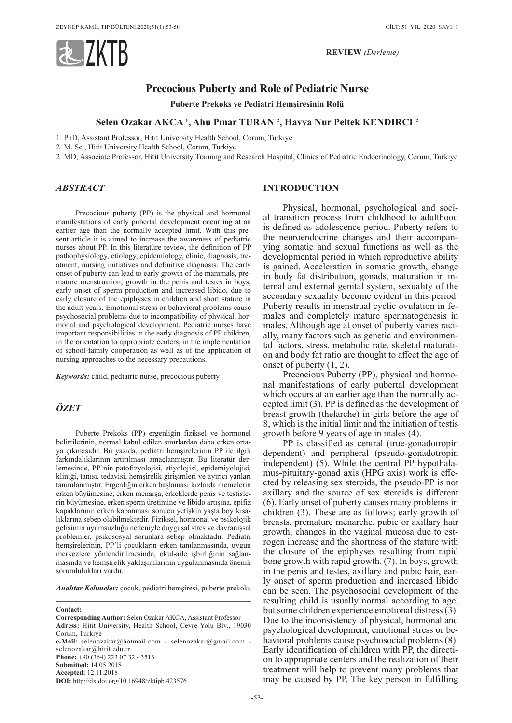

**REVIEW** *(Derleme)*

# **Precocious Puberty and Role of Pediatric Nurse**

**Puberte Prekoks ve Pediatri Hemşiresinin Rolü**

## **Selen Ozakar AKCA 1 , Ahu Pınar TURAN <sup>2</sup> , Havva Nur Peltek KENDIRCI <sup>2</sup>**

1. PhD, Assistant Professor, Hitit University Health School, Corum, Turkiye

2. M. Sc., Hitit University Health School, Corum, Turkiye

2. MD, Associate Professor, Hitit University Training and Research Hospital, Clinics of Pediatric Endocrinology, Corum, Turkiye

### *ABSTRACT*

Precocious puberty (PP) is the physical and hormonal manifestations of early pubertal development occurring at an earlier age than the normally accepted limit. With this present article it is aimed to increase the awareness of pediatric nurses about PP. In this literatüre review, the definition of PP pathophysiology, etiology, epidemiology, clinic, diagnosis, treatment, nursing initiatives and definitive diagnosis. The early onset of puberty can lead to early growth of the mammals, premature menstruation, growth in the penis and testes in boys, early onset of sperm production and increased libido, due to early closure of the epiphyses in children and short stature in the adult years. Emotional stress or behavioral problems cause psychosocial problems due to incompatibility of physical, hormonal and psychological development. Pediatric nurses have important responsibilities in the early diagnosis of PP children, in the orientation to appropriate centers, in the implementation of school-family cooperation as well as of the application of nursing approaches to the necessary precautions.

*Keywords:* child, pediatric nurse, precocious puberty

## *ÖZET*

Puberte Prekoks (PP) ergenliğin fiziksel ve hormonel belirtilerinin, normal kabul edilen sınırlardan daha erken ortaya çıkmasıdır. Bu yazıda, pediatri hemşirelerinin PP ile ilgili farkındalıklarının artırılması amaçlanmıştır. Bu literatür derlemesinde, PP'nin patofizyolojisi, etiyolojisi, epidemiyolojisi, kliniği, tanısı, tedavisi, hemşirelik girişimleri ve ayırıcı yanları tanımlanmıştır. Ergenliğin erken başlaması kızlarda memelerin erken büyümesine, erken menarşa, erkeklerde penis ve testislerin büyümesine, erken sperm üretimine ve libido artışına, epifiz kapaklarının erken kapanması sonucu yetişkin yaşta boy kısalıklarına sebep olabilmektedir. Fiziksel, hormonal ve psikolojik gelişimin uyumsuzluğu nedeniyle duygusal stres ve davranışsal problemler, psikososyal sorunlara sebep olmaktadır. Pediatri hemşirelerinin, PP'li çocukların erken tanılanmasında, uygun merkezlere yönlendirilmesinde, okul-aile işbirliğinin sağlanmasında ve hemşirelik yaklaşımlarının uygulanmasında önemli sorumlulukları vardır.

*Anahtar Kelimeler:* çocuk, pediatri hemşiresi, puberte prekoks

selenozakar@hitit.edu.tr **Phone:** +90 (364) 223 07 32 - 3513

**Submitted:** 14.05.2018 **Accepted:** 12.11.2018

**DOI:** http://dx.doi.org/10.16948/zktipb.423576

## **INTRODUCTION**

Physical, hormonal, psychological and social transition process from childhood to adulthood is defined as adolescence period. Puberty refers to the neuroendocrine changes and their accompanying somatic and sexual functions as well as the developmental period in which reproductive ability is gained. Acceleration in somatic growth, change in body fat distribution, gonads, maturation in internal and external genital system, sexuality of the secondary sexuality become evident in this period. Puberty results in menstrual cyclic ovulation in females and completely mature spermatogenesis in males. Although age at onset of puberty varies racially, many factors such as genetic and environmental factors, stress, metabolic rate, skeletal maturation and body fat ratio are thought to affect the age of onset of puberty (1, 2).

Precocious Puberty (PP), physical and hormonal manifestations of early pubertal development which occurs at an earlier age than the normally accepted limit (3). PP is defined as the development of breast growth (thelarche) in girls before the age of 8, which is the initial limit and the initiation of testis growth before 9 years of age in males (4).

PP is classified as central (true-gonadotropin dependent) and peripheral (pseudo-gonadotropin independent) (5). While the central PP hypothalamus-pituitary-gonad axis (HPG axis) work is effected by releasing sex steroids, the pseudo-PP is not axillary and the source of sex steroids is different (6). Early onset of puberty causes many problems in children (3). These are as follows; early growth of breasts, premature menarche, pubic or axillary hair growth, changes in the vaginal mucosa due to estrogen increase and the shortness of the stature with the closure of the epiphyses resulting from rapid bone growth with rapid growth. (7). In boys, growth in the penis and testes, axillary and pubic hair, early onset of sperm production and increased libido can be seen. The psychosocial development of the resulting child is usually normal according to age, but some children experience emotional distress (3). Due to the inconsistency of physical, hormonal and psychological development, emotional stress or behavioral problems cause psychosocial problems (8). Early identification of children with PP, the direction to appropriate centers and the realization of their treatment will help to prevent many problems that may be caused by PP. The key person in fulfilling

**Contact:**

**Corresponding Author:** Selen Ozakar AKCA, Assistant Professor **Adress:** Hitit University, Health School, Cevre Yolu Blv., 19030 Corum, Turkiye **e-Mail:** selenozakar@hotmail.com - selenozakar@gmail.com -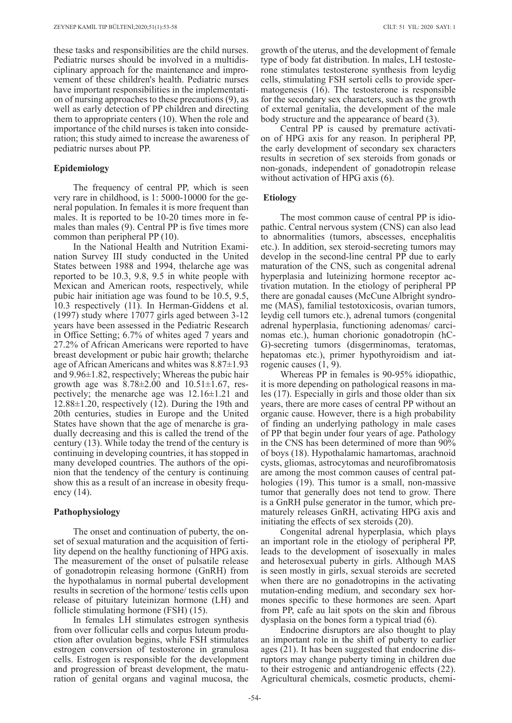these tasks and responsibilities are the child nurses. Pediatric nurses should be involved in a multidisciplinary approach for the maintenance and improvement of these children's health. Pediatric nurses have important responsibilities in the implementation of nursing approaches to these precautions (9), as well as early detection of PP children and directing them to appropriate centers (10). When the role and importance of the child nurses is taken into consideration; this study aimed to increase the awareness of pediatric nurses about PP.

## **Epidemiology**

The frequency of central PP, which is seen very rare in childhood, is 1: 5000-10000 for the general population. In females it is more frequent than males. It is reported to be 10-20 times more in females than males (9). Central PP is five times more common than peripheral PP (10).

In the National Health and Nutrition Examination Survey III study conducted in the United States between 1988 and 1994, thelarche age was reported to be 10.3, 9.8, 9.5 in white people with Mexican and American roots, respectively, while pubic hair initiation age was found to be 10.5, 9.5, 10.3 respectively (11). In Herman-Giddens et al. (1997) study where 17077 girls aged between 3-12 years have been assessed in the Pediatric Research in Office Setting; 6.7% of whites aged 7 years and 27.2% of African Americans were reported to have breast development or pubic hair growth; thelarche age of African Americans and whites was 8.87±1.93 and 9.96±1.82, respectively; Whereas the pubic hair growth age was  $8.78 \pm 2.00$  and  $10.51 \pm 1.67$ , respectively; the menarche age was 12.16±1.21 and 12.88±1.20, respectively (12). During the 19th and 20th centuries, studies in Europe and the United States have shown that the age of menarche is gradually decreasing and this is called the trend of the century (13). While today the trend of the century is continuing in developing countries, it has stopped in many developed countries. The authors of the opinion that the tendency of the century is continuing show this as a result of an increase in obesity frequency (14).

## **Pathophysiology**

The onset and continuation of puberty, the onset of sexual maturation and the acquisition of fertility depend on the healthy functioning of HPG axis. The measurement of the onset of pulsatile release of gonadotropin releasing hormone (GnRH) from the hypothalamus in normal pubertal development results in secretion of the hormone/ testis cells upon release of pituitary luteinizan hormone (LH) and follicle stimulating hormone (FSH) (15).

In females LH stimulates estrogen synthesis from over follicular cells and corpus luteum production after ovulation begins, while FSH stimulates estrogen conversion of testosterone in granulosa cells. Estrogen is responsible for the development and progression of breast development, the maturation of genital organs and vaginal mucosa, the

growth of the uterus, and the development of female type of body fat distribution. In males, LH testosterone stimulates testosterone synthesis from leydig cells, stimulating FSH sertoli cells to provide spermatogenesis (16). The testosterone is responsible for the secondary sex characters, such as the growth of external genitalia, the development of the male body structure and the appearance of beard (3).

Central PP is caused by premature activation of HPG axis for any reason. In peripheral PP, the early development of secondary sex characters results in secretion of sex steroids from gonads or non-gonads, independent of gonadotropin release without activation of HPG axis (6).

## **Etiology**

The most common cause of central PP is idiopathic. Central nervous system (CNS) can also lead to abnormalities (tumors, abscesses, encephalitis etc.). In addition, sex steroid-secreting tumors may develop in the second-line central PP due to early maturation of the CNS, such as congenital adrenal hyperplasia and luteinizing hormone receptor activation mutation. In the etiology of peripheral PP there are gonadal causes (McCune Albright syndrome (MAS), familial testotoxicosis, ovarian tumors, leydig cell tumors etc.), adrenal tumors (congenital adrenal hyperplasia, functioning adenomas/ carcinomas etc.), human chorionic gonadotropin (hC-G)-secreting tumors (disgerminomas, teratomas, hepatomas etc.), primer hypothyroidism and iatrogenic causes (1, 9).

Whereas PP in females is 90-95% idiopathic, it is more depending on pathological reasons in males (17). Especially in girls and those older than six years, there are more cases of central PP without an organic cause. However, there is a high probability of finding an underlying pathology in male cases of PP that begin under four years of age. Pathology in the CNS has been determined of more than 90% of boys (18). Hypothalamic hamartomas, arachnoid cysts, gliomas, astrocytomas and neurofibromatosis are among the most common causes of central pathologies (19). This tumor is a small, non-massive tumor that generally does not tend to grow. There is a GnRH pulse generator in the tumor, which prematurely releases GnRH, activating HPG axis and initiating the effects of sex steroids (20).

Congenital adrenal hyperplasia, which plays an important role in the etiology of peripheral PP, leads to the development of isosexually in males and heterosexual puberty in girls. Although MAS is seen mostly in girls, sexual steroids are secreted when there are no gonadotropins in the activating mutation-ending medium, and secondary sex hormones specific to these hormones are seen. Apart from PP, cafe au lait spots on the skin and fibrous dysplasia on the bones form a typical triad (6).

Endocrine disruptors are also thought to play an important role in the shift of puberty to earlier ages (21). It has been suggested that endocrine disruptors may change puberty timing in children due to their estrogenic and antiandrogenic effects (22). Agricultural chemicals, cosmetic products, chemi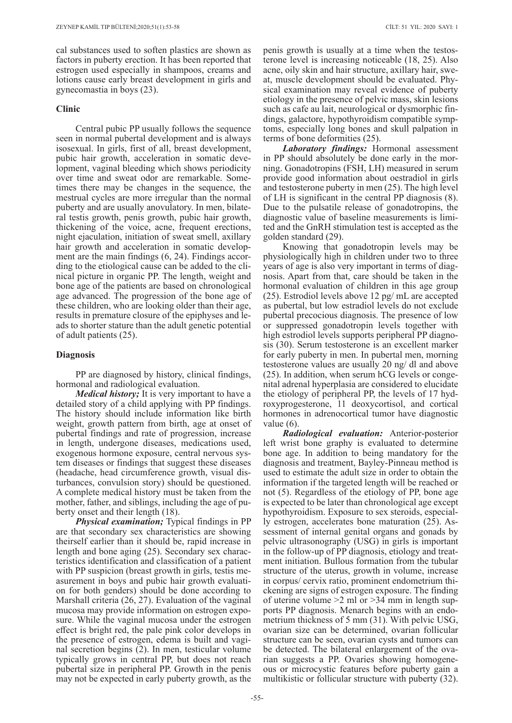cal substances used to soften plastics are shown as factors in puberty erection. It has been reported that estrogen used especially in shampoos, creams and lotions cause early breast development in girls and gynecomastia in boys (23).

## **Clinic**

Central pubic PP usually follows the sequence seen in normal pubertal development and is always isosexual. In girls, first of all, breast development, pubic hair growth, acceleration in somatic development, vaginal bleeding which shows periodicity over time and sweat odor are remarkable. Sometimes there may be changes in the sequence, the mestrual cycles are more irregular than the normal puberty and are usually anovulatory. In men, bilateral testis growth, penis growth, pubic hair growth, thickening of the voice, acne, frequent erections, night ejaculation, initiation of sweat smell, axillary hair growth and acceleration in somatic development are the main findings (6, 24). Findings according to the etiological cause can be added to the clinical picture in organic PP. The length, weight and bone age of the patients are based on chronological age advanced. The progression of the bone age of these children, who are looking older than their age, results in premature closure of the epiphyses and leads to shorter stature than the adult genetic potential of adult patients (25).

## **Diagnosis**

PP are diagnosed by history, clinical findings, hormonal and radiological evaluation.

*Medical history;* It is very important to have a detailed story of a child applying with PP findings. The history should include information like birth weight, growth pattern from birth, age at onset of pubertal findings and rate of progression, increase in length, undergone diseases, medications used, exogenous hormone exposure, central nervous system diseases or findings that suggest these diseases (headache, head circumference growth, visual disturbances, convulsion story) should be questioned. A complete medical history must be taken from the mother, father, and siblings, including the age of puberty onset and their length (18).

*Physical examination;* Typical findings in PP are that secondary sex characteristics are showing theirself earlier than it should be, rapid increase in length and bone aging (25). Secondary sex characteristics identification and classification of a patient with PP suspicion (breast growth in girls, test is measurement in boys and pubic hair growth evaluation for both genders) should be done according to Marshall criteria (26, 27). Evaluation of the vaginal mucosa may provide information on estrogen exposure. While the vaginal mucosa under the estrogen effect is bright red, the pale pink color develops in the presence of estrogen, edema is built and vaginal secretion begins (2). In men, testicular volume typically grows in central PP, but does not reach pubertal size in peripheral PP. Growth in the penis may not be expected in early puberty growth, as the

penis growth is usually at a time when the testosterone level is increasing noticeable (18, 25). Also acne, oily skin and hair structure, axillary hair, sweat, muscle development should be evaluated. Physical examination may reveal evidence of puberty etiology in the presence of pelvic mass, skin lesions such as cafe au lait, neurological or dysmorphic findings, galactore, hypothyroidism compatible symptoms, especially long bones and skull palpation in terms of bone deformities (25).

*Laboratory findings:* Hormonal assessment in PP should absolutely be done early in the morning. Gonadotropins (FSH, LH) measured in serum provide good information about oestradiol in girls and testosterone puberty in men (25). The high level of LH is significant in the central PP diagnosis (8). Due to the pulsatile release of gonadotropins, the diagnostic value of baseline measurements is limited and the GnRH stimulation test is accepted as the golden standard (29).

Knowing that gonadotropin levels may be physiologically high in children under two to three years of age is also very important in terms of diagnosis. Apart from that, care should be taken in the hormonal evaluation of children in this age group (25). Estrodiol levels above 12 pg/ mL are accepted as pubertal, but low estradiol levels do not exclude pubertal precocious diagnosis. The presence of low or suppressed gonadotropin levels together with high estrodiol levels supports peripheral PP diagnosis (30). Serum testosterone is an excellent marker for early puberty in men. In pubertal men, morning testosterone values are usually 20 ng/ dl and above (25). In addition, when serum hCG levels or congenital adrenal hyperplasia are considered to elucidate the etiology of peripheral PP, the levels of 17 hydroxyprogesterone, 11 deoxycortisol, and cortical hormones in adrenocortical tumor have diagnostic value (6).

*Radiological evaluation:* Anterior-posterior left wrist bone graphy is evaluated to determine bone age. In addition to being mandatory for the diagnosis and treatment, Bayley-Pinneau method is used to estimate the adult size in order to obtain the information if the targeted length will be reached or not (5). Regardless of the etiology of PP, bone age is expected to be later than chronological age except hypothyroidism. Exposure to sex steroids, especially estrogen, accelerates bone maturation (25). Assessment of internal genital organs and gonads by pelvic ultrasonography (USG) in girls is important in the follow-up of PP diagnosis, etiology and treatment initiation. Bullous formation from the tubular structure of the uterus, growth in volume, increase in corpus/ cervix ratio, prominent endometrium thickening are signs of estrogen exposure. The finding of uterine volume  $\geq 2$  ml or  $\geq 34$  mm in length supports PP diagnosis. Menarch begins with an endometrium thickness of 5 mm (31). With pelvic USG, ovarian size can be determined, ovarian follicular structure can be seen, ovarian cysts and tumors can be detected. The bilateral enlargement of the ovarian suggests a PP. Ovaries showing homogeneous or microcystic features before puberty gain a multikistic or follicular structure with puberty (32).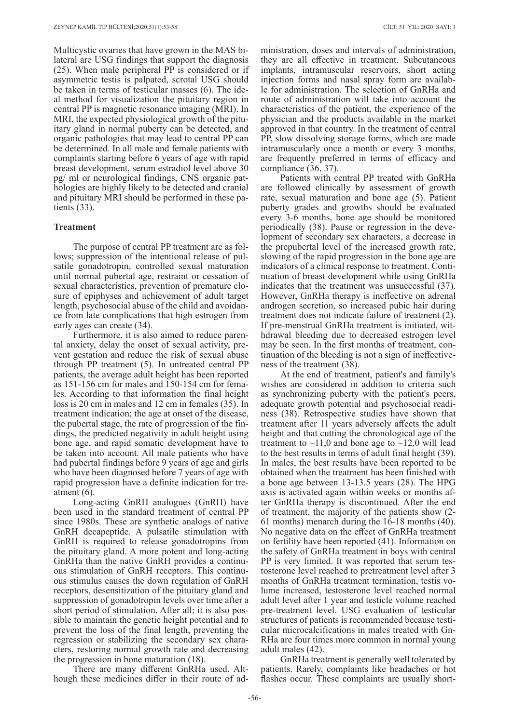Multicystic ovaries that have grown in the MAS bilateral are USG findings that support the diagnosis (25). When male peripheral PP is considered or if asymmetric testis is palpated, scrotal USG should be taken in terms of testicular masses (6). The ideal method for visualization the pituitary region in central PP is magnetic resonance imaging (MRI). In MRI, the expected physiological growth of the pituitary gland in normal puberty can be detected, and organic pathologies that may lead to central PP can be determined. In all male and female patients with complaints starting before 6 years of age with rapid breast development, serum estradiol level above 30 pg/ ml or neurological findings, CNS organic pathologies are highly likely to be detected and cranial and pituitary MRI should be performed in these patients (33).

## **Treatment**

The purpose of central PP treatment are as follows; suppression of the intentional release of pulsatile gonadotropin, controlled sexual maturation until normal pubertal age, restraint or cessation of sexual characteristics, prevention of premature closure of epiphyses and achievement of adult target length, psychosocial abuse of the child and avoidance from late complications that high estrogen from early ages can create (34).

Furthermore, it is also aimed to reduce parental anxiety, delay the onset of sexual activity, prevent gestation and reduce the risk of sexual abuse through PP treatment (5). In untreated central PP patients, the average adult height has been reported as 151-156 cm for males and 150-154 cm for females. According to that information the final height loss is 20 cm in males and 12 cm in females (35). In treatment indication; the age at onset of the disease, the pubertal stage, the rate of progression of the findings, the predicted negativity in adult height using bone age, and rapid somatic development have to be taken into account. All male patients who have had pubertal findings before 9 years of age and girls who have been diagnosed before 7 years of age with rapid progression have a definite indication for treatment (6).

Long-acting GnRH analogues (GnRH) have been used in the standard treatment of central PP since 1980s. These are synthetic analogs of native GnRH decapeptide. A pulsatile stimulation with GnRH is required to release gonadotropins from the pituitary gland. A more potent and long-acting GnRHa than the native GnRH provides a continuous stimulation of GnRH receptors. This continuous stimulus causes the down regulation of GnRH receptors, desensitization of the pituitary gland and suppression of gonadotropin levels over time after a short period of stimulation. After all; it is also possible to maintain the genetic height potential and to prevent the loss of the final length, preventing the regression or stabilizing the secondary sex characters, restoring normal growth rate and decreasing the progression in bone maturation (18).

There are many different GnRHa used. Although these medicines differ in their route of ad-

ministration, doses and intervals of administration, they are all effective in treatment. Subcutaneous implants, intramuscular reservoirs, short acting injection forms and nasal spray form are available for administration. The selection of GnRHa and route of administration will take into account the characteristics of the patient, the experience of the physician and the products available in the market approved in that country. In the treatment of central PP, slow dissolving storage forms, which are made intramuscularly once a month or every 3 months, are frequently preferred in terms of efficacy and compliance (36, 37).

Patients with central PP treated with GnRHa are followed clinically by assessment of growth rate, sexual maturation and bone age (5). Patient puberty grades and growths should be evaluated every 3-6 months, bone age should be monitored periodically (38). Pause or regression in the development of secondary sex characters, a decrease in the prepubertal level of the increased growth rate, slowing of the rapid progression in the bone age are indicators of a clinical response to treatment. Continuation of breast development while using GnRHa indicates that the treatment was unsuccessful (37). However, GnRHa therapy is ineffective on adrenal androgen secretion, so increased pubic hair during treatment does not indicate failure of treatment (2). If pre-menstrual GnRHa treatment is initiated, withdrawal bleeding due to decreased estrogen level may be seen. In the first months of treatment, continuation of the bleeding is not a sign of ineffectiveness of the treatment (38).

At the end of treatment, patient's and family's wishes are considered in addition to criteria such as synchronizing puberty with the patient's peers, adequate growth potential and psychosocial readiness (38). Retrospective studies have shown that treatment after 11 years adversely affects the adult height and that cutting the chronological age of the treatment to  $\sim$ 11,0 and bone age to  $\sim$ 12,0 will lead to the best results in terms of adult final height (39). In males, the best results have been reported to be obtained when the treatment has been finished with a bone age between 13-13.5 years (28). The HPG axis is activated again within weeks or months after GnRHa therapy is discontinued. After the end of treatment, the majority of the patients show (2- 61 months) menarch during the 16-18 months (40). No negative data on the effect of GnRHa treatment on fertility have been reported (41). Information on the safety of GnRHa treatment in boys with central PP is very limited. It was reported that serum testosterone level reached to pretreatment level after 3 months of GnRHa treatment termination, testis volume increased, testosterone level reached normal adult level after 1 year and testicle volume reached pre-treatment level. USG evaluation of testicular structures of patients is recommended because testicular microcalcifications in males treated with Gn-RHa are four times more common in normal young adult males (42).

GnRHa treatment is generally well tolerated by patients. Rarely, complaints like headaches or hot flashes occur. These complaints are usually short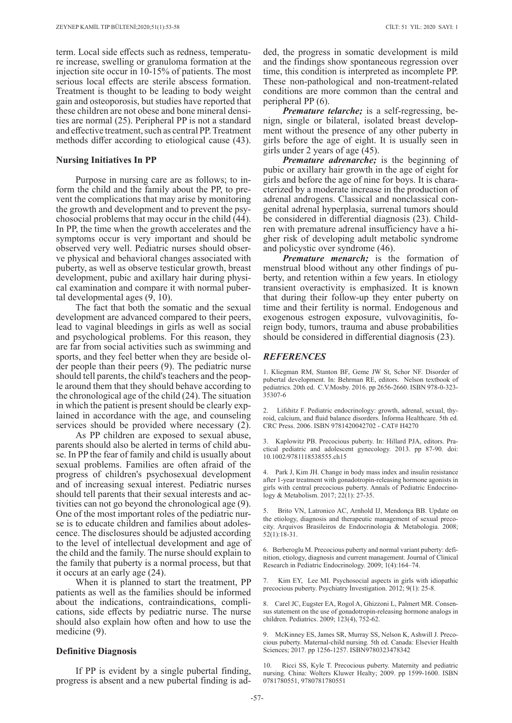term. Local side effects such as redness, temperature increase, swelling or granuloma formation at the injection site occur in 10-15% of patients. The most serious local effects are sterile abscess formation. Treatment is thought to be leading to body weight gain and osteoporosis, but studies have reported that these children are not obese and bone mineral densities are normal (25). Peripheral PP is not a standard and effective treatment, such as central PP. Treatment methods differ according to etiological cause (43).

#### **Nursing Initiatives In PP**

Purpose in nursing care are as follows; to inform the child and the family about the PP, to prevent the complications that may arise by monitoring the growth and development and to prevent the psychosocial problems that may occur in the child (44). In PP, the time when the growth accelerates and the symptoms occur is very important and should be observed very well. Pediatric nurses should observe physical and behavioral changes associated with puberty, as well as observe testicular growth, breast development, pubic and axillary hair during physical examination and compare it with normal pubertal developmental ages (9, 10).

The fact that both the somatic and the sexual development are advanced compared to their peers, lead to vaginal bleedings in girls as well as social and psychological problems. For this reason, they are far from social activities such as swimming and sports, and they feel better when they are beside older people than their peers (9). The pediatric nurse should tell parents, the child's teachers and the people around them that they should behave according to the chronological age of the child (24). The situation in which the patient is present should be clearly explained in accordance with the age, and counseling services should be provided where necessary (2).

As PP children are exposed to sexual abuse, parents should also be alerted in terms of child abuse. In PP the fear of family and child is usually about sexual problems. Families are often afraid of the progress of children's psychosexual development and of increasing sexual interest. Pediatric nurses should tell parents that their sexual interests and activities can not go beyond the chronological age (9). One of the most important roles of the pediatric nurse is to educate children and families about adolescence. The disclosures should be adjusted according to the level of intellectual development and age of the child and the family. The nurse should explain to the family that puberty is a normal process, but that it occurs at an early age (24).

When it is planned to start the treatment, PP patients as well as the families should be informed about the indications, contraindications, complications, side effects by pediatric nurse. The nurse should also explain how often and how to use the medicine (9).

### **Definitive Diagnosis**

If PP is evident by a single pubertal finding, progress is absent and a new pubertal finding is added, the progress in somatic development is mild and the findings show spontaneous regression over time, this condition is interpreted as incomplete PP. These non-pathological and non-treatment-related conditions are more common than the central and peripheral PP (6).

*Premature telarche;* is a self-regressing, benign, single or bilateral, isolated breast development without the presence of any other puberty in girls before the age of eight. It is usually seen in girls under 2 years of age (45).

*Premature adrenarche;* is the beginning of pubic or axillary hair growth in the age of eight for girls and before the age of nine for boys. It is characterized by a moderate increase in the production of adrenal androgens. Classical and nonclassical congenital adrenal hyperplasia, surrenal tumors should be considered in differential diagnosis (23). Children with premature adrenal insufficiency have a higher risk of developing adult metabolic syndrome and policystic over syndrome (46).

*Premature menarch;* is the formation of menstrual blood without any other findings of puberty, and retention within a few years. In etiology transient overactivity is emphasized. It is known that during their follow-up they enter puberty on time and their fertility is normal. Endogenous and exogenous estrogen exposure, vulvovaginitis, foreign body, tumors, trauma and abuse probabilities should be considered in differential diagnosis (23).

#### *REFERENCES*

1. Kliegman RM, Stanton BF, Geme JW St, Schor NF. Disorder of pubertal development. In: Behrman RE, editors. Nelson textbook of pediatrics. 20th ed. C.V.Mosby. 2016. pp 2656-2660. ISBN 978-0-323- 35307-6

2. Lifshitz F. Pediatric endocrinology: growth, adrenal, sexual, thyroid, calcium, and fluid balance disorders. İnforma Healthcare. 5th ed. CRC Press. 2006. ISBN 9781420042702 - CAT# H4270

3. Kaplowitz PB. Precocious puberty. In: Hillard PJA, editors. Practical pediatric and adolescent gynecology. 2013. pp 87-90. doi: 10.1002/9781118538555.ch15

4. Park J, Kim JH. Change in body mass index and insulin resistance after 1-year treatment with gonadotropin-releasing hormone agonists in girls with central precocious puberty. Annals of Pediatric Endocrinology & Metabolism. 2017; 22(1): 27-35.

5. Brito VN, Latronico AC, Arnhold IJ, Mendonça BB. Update on the etiology, diagnosis and therapeutic management of sexual precocity. Arquivos Brasileiros de Endocrinologia & Metabologia. 2008; 52(1):18-31.

6. Berberoglu M. Precocious puberty and normal variant puberty: definition, etiology, diagnosis and current management. Journal of Clinical Research in Pediatric Endocrinology. 2009; 1(4):164–74.

Kim EY, Lee MI. Psychosocial aspects in girls with idiopathic precocious puberty. Psychiatry İnvestigation. 2012; 9(1): 25-8.

8. Carel JC, Eugster EA, Rogol A, Ghizzoni L, Palmert MR. Consensus statement on the use of gonadotropin-releasing hormone analogs in children. Pediatrics. 2009; 123(4), 752-62.

9. McKinney ES, James SR, Murray SS, Nelson K, Ashwill J. Precocious puberty. Maternal-child nursing. 5th ed. Canada: Elsevier Health Sciences; 2017. pp 1256-1257. ISBN9780323478342

10. Ricci SS, Kyle T. Precocious puberty. Maternity and pediatric nursing. China: Wolters Kluwer Healty; 2009. pp 1599-1600. ISBN 0781780551, 9780781780551